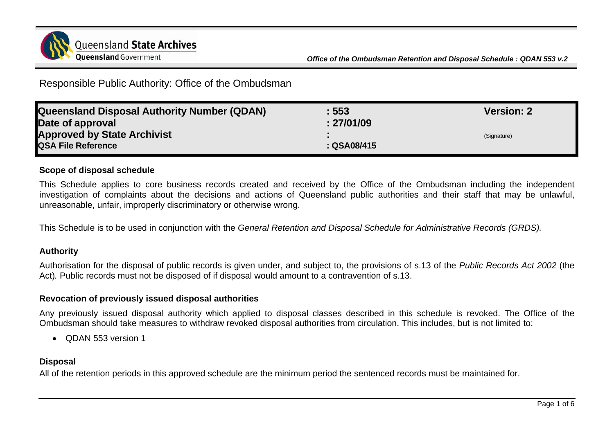

Responsible Public Authority: Office of the Ombudsman

| <b>Queensland Disposal Authority Number (QDAN)</b> | : 553       | <b>Version: 2</b> |
|----------------------------------------------------|-------------|-------------------|
| Date of approval                                   | : 27/01/09  |                   |
| <b>Approved by State Archivist</b>                 |             | (Signature)       |
| <b>QSA File Reference</b>                          | : QSA08/415 |                   |

## **Scope of disposal schedule**

This Schedule applies to core business records created and received by the Office of the Ombudsman including the independent investigation of complaints about the decisions and actions of Queensland public authorities and their staff that may be unlawful, unreasonable, unfair, improperly discriminatory or otherwise wrong.

This Schedule is to be used in conjunction with the *General Retention and Disposal Schedule for Administrative Records (GRDS).*

## **Authority**

Authorisation for the disposal of public records is given under, and subject to, the provisions of s.13 of the *Public Records Act 2002* (the Act)*.* Public records must not be disposed of if disposal would amount to a contravention of s.13.

## **Revocation of previously issued disposal authorities**

Any previously issued disposal authority which applied to disposal classes described in this schedule is revoked. The Office of the Ombudsman should take measures to withdraw revoked disposal authorities from circulation. This includes, but is not limited to:

• **QDAN 553 version 1** 

## **Disposal**

All of the retention periods in this approved schedule are the minimum period the sentenced records must be maintained for.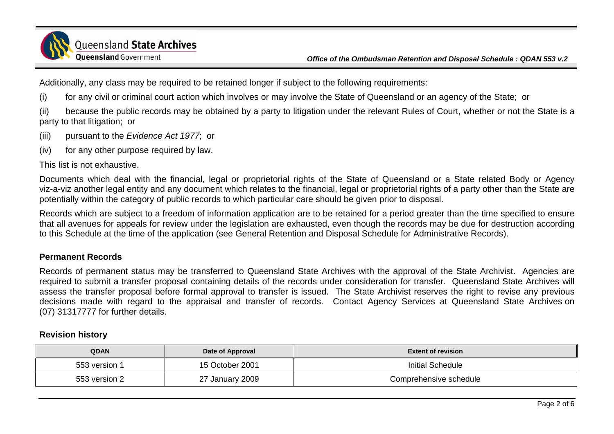

Additionally, any class may be required to be retained longer if subject to the following requirements:

(i) for any civil or criminal court action which involves or may involve the State of Queensland or an agency of the State; or

(ii) because the public records may be obtained by a party to litigation under the relevant Rules of Court, whether or not the State is a party to that litigation; or

(iii) pursuant to the *Evidence Act 1977*; or

(iv) for any other purpose required by law.

This list is not exhaustive.

Documents which deal with the financial, legal or proprietorial rights of the State of Queensland or a State related Body or Agency viz-a-viz another legal entity and any document which relates to the financial, legal or proprietorial rights of a party other than the State are potentially within the category of public records to which particular care should be given prior to disposal.

Records which are subject to a freedom of information application are to be retained for a period greater than the time specified to ensure that all avenues for appeals for review under the legislation are exhausted, even though the records may be due for destruction according to this Schedule at the time of the application (see General Retention and Disposal Schedule for Administrative Records).

## **Permanent Records**

Records of permanent status may be transferred to Queensland State Archives with the approval of the State Archivist. Agencies are required to submit a transfer proposal containing details of the records under consideration for transfer. Queensland State Archives will assess the transfer proposal before formal approval to transfer is issued. The State Archivist reserves the right to revise any previous decisions made with regard to the appraisal and transfer of records. Contact Agency Services at Queensland State Archives on (07) 31317777 for further details.

#### **Revision history**

| <b>QDAN</b>   | Date of Approval | <b>Extent of revision</b> |  |
|---------------|------------------|---------------------------|--|
| 553 version 1 | 15 October 2001  | Initial Schedule          |  |
| 553 version 2 | 27 January 2009  | Comprehensive schedule    |  |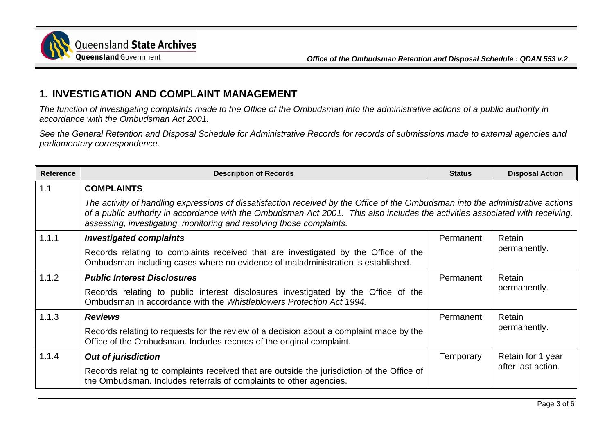

# **1. INVESTIGATION AND COMPLAINT MANAGEMENT**

*The function of investigating complaints made to the Office of the Ombudsman into the administrative actions of a public authority in accordance with the Ombudsman Act 2001.* 

*See the General Retention and Disposal Schedule for Administrative Records for records of submissions made to external agencies and parliamentary correspondence.* 

| <b>Reference</b> | <b>Description of Records</b>                                                                                                                                                                                                                                                                                                            | <b>Status</b> | <b>Disposal Action</b>                  |
|------------------|------------------------------------------------------------------------------------------------------------------------------------------------------------------------------------------------------------------------------------------------------------------------------------------------------------------------------------------|---------------|-----------------------------------------|
| 1.1              | <b>COMPLAINTS</b>                                                                                                                                                                                                                                                                                                                        |               |                                         |
|                  | The activity of handling expressions of dissatisfaction received by the Office of the Ombudsman into the administrative actions<br>of a public authority in accordance with the Ombudsman Act 2001. This also includes the activities associated with receiving,<br>assessing, investigating, monitoring and resolving those complaints. |               |                                         |
| 1.1.1            | <b>Investigated complaints</b>                                                                                                                                                                                                                                                                                                           | Permanent     | Retain<br>permanently.                  |
|                  | Records relating to complaints received that are investigated by the Office of the<br>Ombudsman including cases where no evidence of maladministration is established.                                                                                                                                                                   |               |                                         |
| 1.1.2            | <b>Public Interest Disclosures</b>                                                                                                                                                                                                                                                                                                       | Permanent     | Retain<br>permanently.                  |
|                  | Records relating to public interest disclosures investigated by the Office of the<br>Ombudsman in accordance with the Whistleblowers Protection Act 1994.                                                                                                                                                                                |               |                                         |
| 1.1.3            | <b>Reviews</b>                                                                                                                                                                                                                                                                                                                           | Permanent     | Retain<br>permanently.                  |
|                  | Records relating to requests for the review of a decision about a complaint made by the<br>Office of the Ombudsman. Includes records of the original complaint.                                                                                                                                                                          |               |                                         |
| 1.1.4            | <b>Out of jurisdiction</b>                                                                                                                                                                                                                                                                                                               | Temporary     | Retain for 1 year<br>after last action. |
|                  | Records relating to complaints received that are outside the jurisdiction of the Office of<br>the Ombudsman. Includes referrals of complaints to other agencies.                                                                                                                                                                         |               |                                         |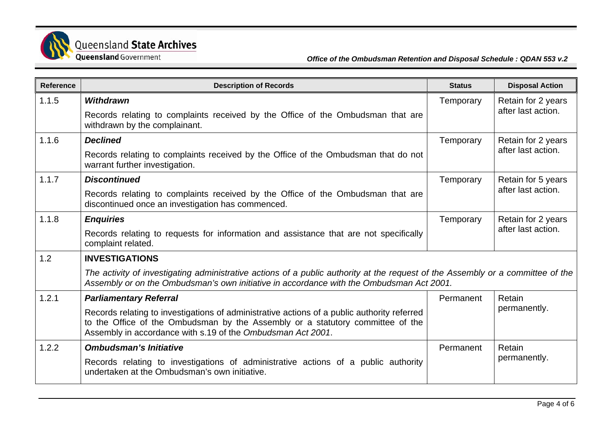

| <b>Reference</b> | <b>Description of Records</b>                                                                                                                                                                                                                | <b>Status</b> | <b>Disposal Action</b>                   |
|------------------|----------------------------------------------------------------------------------------------------------------------------------------------------------------------------------------------------------------------------------------------|---------------|------------------------------------------|
| 1.1.5            | <b>Withdrawn</b>                                                                                                                                                                                                                             | Temporary     | Retain for 2 years<br>after last action. |
|                  | Records relating to complaints received by the Office of the Ombudsman that are<br>withdrawn by the complainant.                                                                                                                             |               |                                          |
| 1.1.6            | <b>Declined</b>                                                                                                                                                                                                                              | Temporary     | Retain for 2 years                       |
|                  | Records relating to complaints received by the Office of the Ombudsman that do not<br>warrant further investigation.                                                                                                                         |               | after last action.                       |
| 1.1.7            | <b>Discontinued</b>                                                                                                                                                                                                                          | Temporary     | Retain for 5 years                       |
|                  | Records relating to complaints received by the Office of the Ombudsman that are<br>discontinued once an investigation has commenced.                                                                                                         |               | after last action.                       |
| 1.1.8            | <b>Enquiries</b>                                                                                                                                                                                                                             | Temporary     | Retain for 2 years                       |
|                  | Records relating to requests for information and assistance that are not specifically<br>complaint related.                                                                                                                                  |               | after last action.                       |
| 1.2              | <b>INVESTIGATIONS</b>                                                                                                                                                                                                                        |               |                                          |
|                  | The activity of investigating administrative actions of a public authority at the request of the Assembly or a committee of the<br>Assembly or on the Ombudsman's own initiative in accordance with the Ombudsman Act 2001.                  |               |                                          |
| 1.2.1            | <b>Parliamentary Referral</b>                                                                                                                                                                                                                | Permanent     | Retain                                   |
|                  | Records relating to investigations of administrative actions of a public authority referred<br>to the Office of the Ombudsman by the Assembly or a statutory committee of the<br>Assembly in accordance with s.19 of the Ombudsman Act 2001. |               | permanently.                             |
| 1.2.2            | <b>Ombudsman's Initiative</b>                                                                                                                                                                                                                | Permanent     | Retain                                   |
|                  | Records relating to investigations of administrative actions of a public authority<br>undertaken at the Ombudsman's own initiative.                                                                                                          |               | permanently.                             |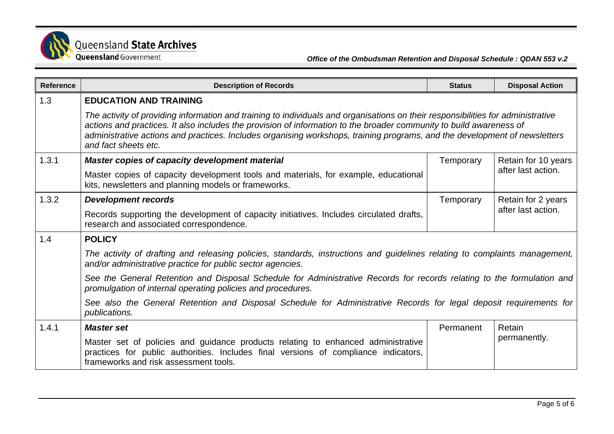

| <b>Reference</b> | <b>Description of Records</b>                                                                                                                                                                                                                                                                                                                                                                                 | <b>Status</b> | <b>Disposal Action</b>                    |  |
|------------------|---------------------------------------------------------------------------------------------------------------------------------------------------------------------------------------------------------------------------------------------------------------------------------------------------------------------------------------------------------------------------------------------------------------|---------------|-------------------------------------------|--|
| 1.3              | <b>EDUCATION AND TRAINING</b>                                                                                                                                                                                                                                                                                                                                                                                 |               |                                           |  |
|                  | The activity of providing information and training to individuals and organisations on their responsibilities for administrative<br>actions and practices. It also includes the provision of information to the broader community to build awareness of<br>administrative actions and practices. Includes organising workshops, training programs, and the development of newsletters<br>and fact sheets etc. |               |                                           |  |
| 1.3.1            | Master copies of capacity development material                                                                                                                                                                                                                                                                                                                                                                | Temporary     | Retain for 10 years<br>after last action. |  |
|                  | Master copies of capacity development tools and materials, for example, educational<br>kits, newsletters and planning models or frameworks.                                                                                                                                                                                                                                                                   |               |                                           |  |
| 1.3.2            | <b>Development records</b>                                                                                                                                                                                                                                                                                                                                                                                    | Temporary     | Retain for 2 years<br>after last action.  |  |
|                  | Records supporting the development of capacity initiatives. Includes circulated drafts,<br>research and associated correspondence.                                                                                                                                                                                                                                                                            |               |                                           |  |
| 1.4              | <b>POLICY</b>                                                                                                                                                                                                                                                                                                                                                                                                 |               |                                           |  |
|                  | The activity of drafting and releasing policies, standards, instructions and guidelines relating to complaints management,<br>and/or administrative practice for public sector agencies.                                                                                                                                                                                                                      |               |                                           |  |
|                  | See the General Retention and Disposal Schedule for Administrative Records for records relating to the formulation and<br>promulgation of internal operating policies and procedures.                                                                                                                                                                                                                         |               |                                           |  |
|                  | See also the General Retention and Disposal Schedule for Administrative Records for legal deposit requirements for<br>publications.                                                                                                                                                                                                                                                                           |               |                                           |  |
| 1.4.1            | <b>Master set</b>                                                                                                                                                                                                                                                                                                                                                                                             | Permanent     | Retain<br>permanently.                    |  |
|                  | Master set of policies and guidance products relating to enhanced administrative<br>practices for public authorities. Includes final versions of compliance indicators,<br>frameworks and risk assessment tools.                                                                                                                                                                                              |               |                                           |  |